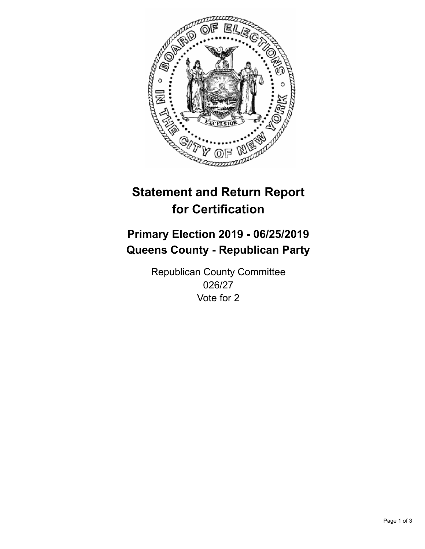

## **Statement and Return Report for Certification**

## **Primary Election 2019 - 06/25/2019 Queens County - Republican Party**

Republican County Committee 026/27 Vote for 2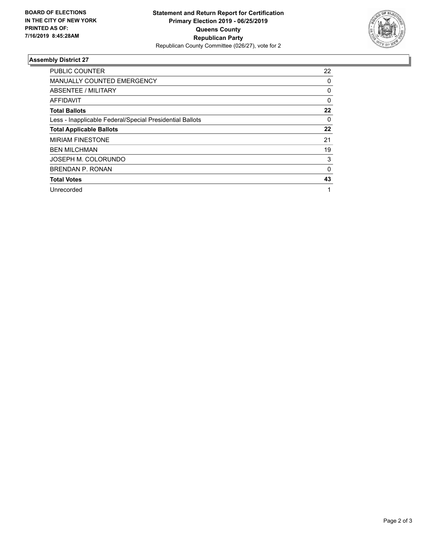

## **Assembly District 27**

| <b>PUBLIC COUNTER</b>                                    | 22           |
|----------------------------------------------------------|--------------|
| <b>MANUALLY COUNTED EMERGENCY</b>                        | 0            |
| ABSENTEE / MILITARY                                      | 0            |
| AFFIDAVIT                                                | $\Omega$     |
| <b>Total Ballots</b>                                     | 22           |
| Less - Inapplicable Federal/Special Presidential Ballots | $\Omega$     |
| <b>Total Applicable Ballots</b>                          | 22           |
| <b>MIRIAM FINESTONE</b>                                  | 21           |
| <b>BEN MILCHMAN</b>                                      | 19           |
| JOSEPH M. COLORUNDO                                      | 3            |
| <b>BRENDAN P. RONAN</b>                                  | $\mathbf{0}$ |
| <b>Total Votes</b>                                       | 43           |
| Unrecorded                                               | 1            |